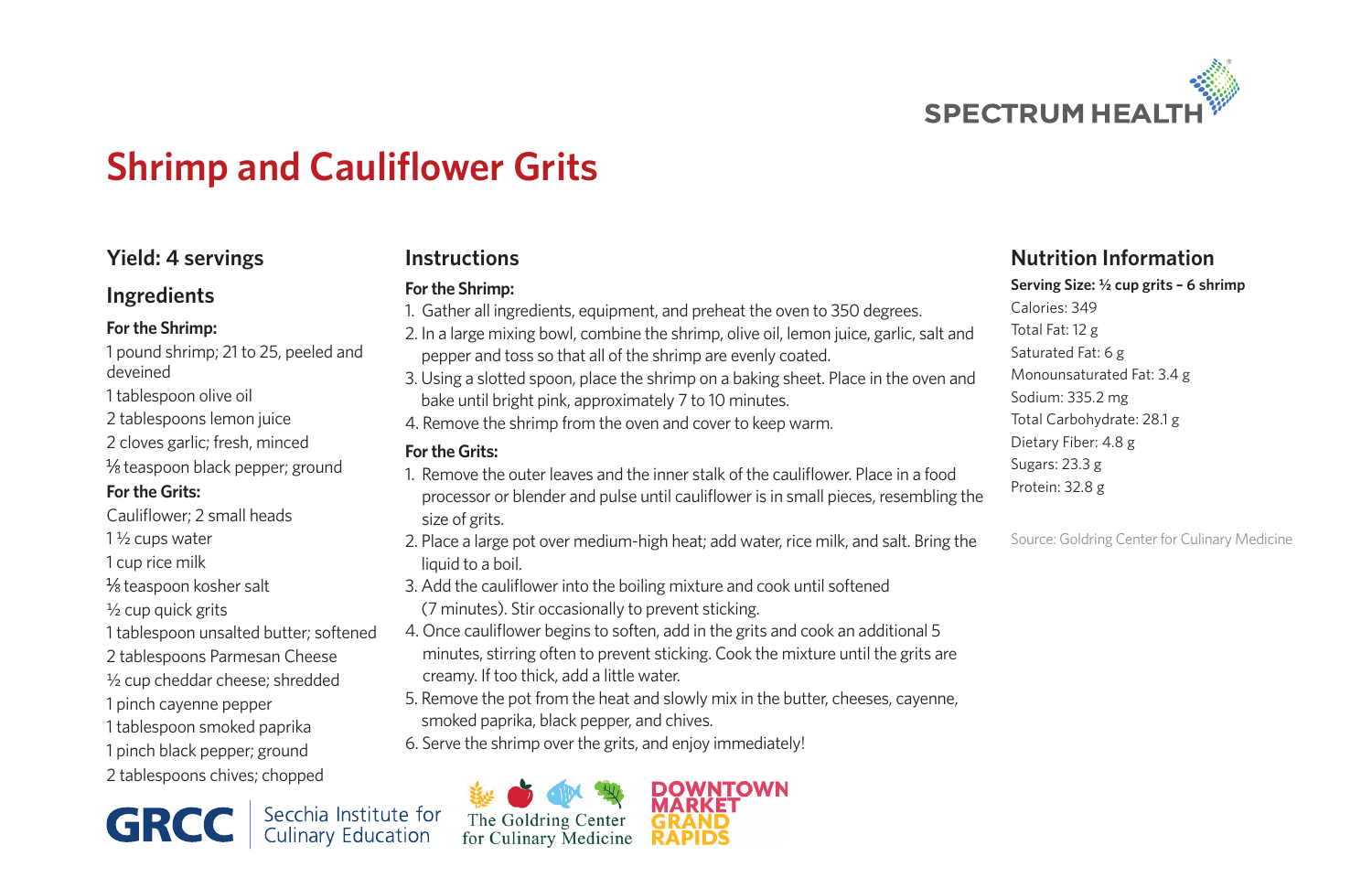

# **Shrimp and Cauliflower Grits**

# **Yield: 4 servings**

## **Ingredients**

## **For the Shrimp:**

1 pound shrimp; 21 to 25, peeled and deveined 1 tablespoon olive oil 2 tablespoons lemon juice 2 cloves garlic; fresh, minced  $\frac{1}{8}$  teaspoon black pepper; ground **For the Grits:** Cauliflower; 2 small heads 1 ½ cups water 1 cup rice milk  $\frac{1}{8}$  teaspoon kosher salt ½ cup quick grits 1 tablespoon unsalted butter; softened 2 tablespoons Parmesan Cheese ½ cup cheddar cheese; shredded 1 pinch cayenne pepper 1 tablespoon smoked paprika 1 pinch black pepper; ground 2 tablespoons chives; chopped

**GRCC** Secchia Institute for

# **Instructions**

### **For the Shrimp:**

- 1. Gather all ingredients, equipment, and preheat the oven to 350 degrees.
- 2. In a large mixing bowl, combine the shrimp, olive oil, lemon juice, garlic, salt and pepper and toss so that all of the shrimp are evenly coated.
- 3. Using a slotted spoon, place the shrimp on a baking sheet. Place in the oven and bake until bright pink, approximately 7 to 10 minutes.
- 4. Remove the shrimp from the oven and cover to keep warm.

### **For the Grits:**

- 1. Remove the outer leaves and the inner stalk of the cauliflower. Place in a food processor or blender and pulse until cauliflower is in small pieces, resembling the size of grits.
- 2. Place a large pot over medium-high heat; add water, rice milk, and salt. Bring the liquid to a boil.
- 3. Add the cauliflower into the boiling mixture and cook until softened (7 minutes). Stir occasionally to prevent sticking.
- 4. Once cauliflower begins to soften, add in the grits and cook an additional 5 minutes, stirring often to prevent sticking. Cook the mixture until the grits are creamy. If too thick, add a little water.
- 5. Remove the pot from the heat and slowly mix in the butter, cheeses, cayenne, smoked paprika, black pepper, and chives.
- 6. Serve the shrimp over the grits, and enjoy immediately!



## **Nutrition Information**

**Serving Size: ½ cup grits – 6 shrimp**

Calories: 349 Total Fat: 12 g Saturated Fat: 6 g Monounsaturated Fat: 3.4 g Sodium: 335.2 mg Total Carbohydrate: 28.1 g Dietary Fiber: 4.8 g Sugars: 23.3 g Protein: 32.8 g

Source: Goldring Center for Culinary Medicine